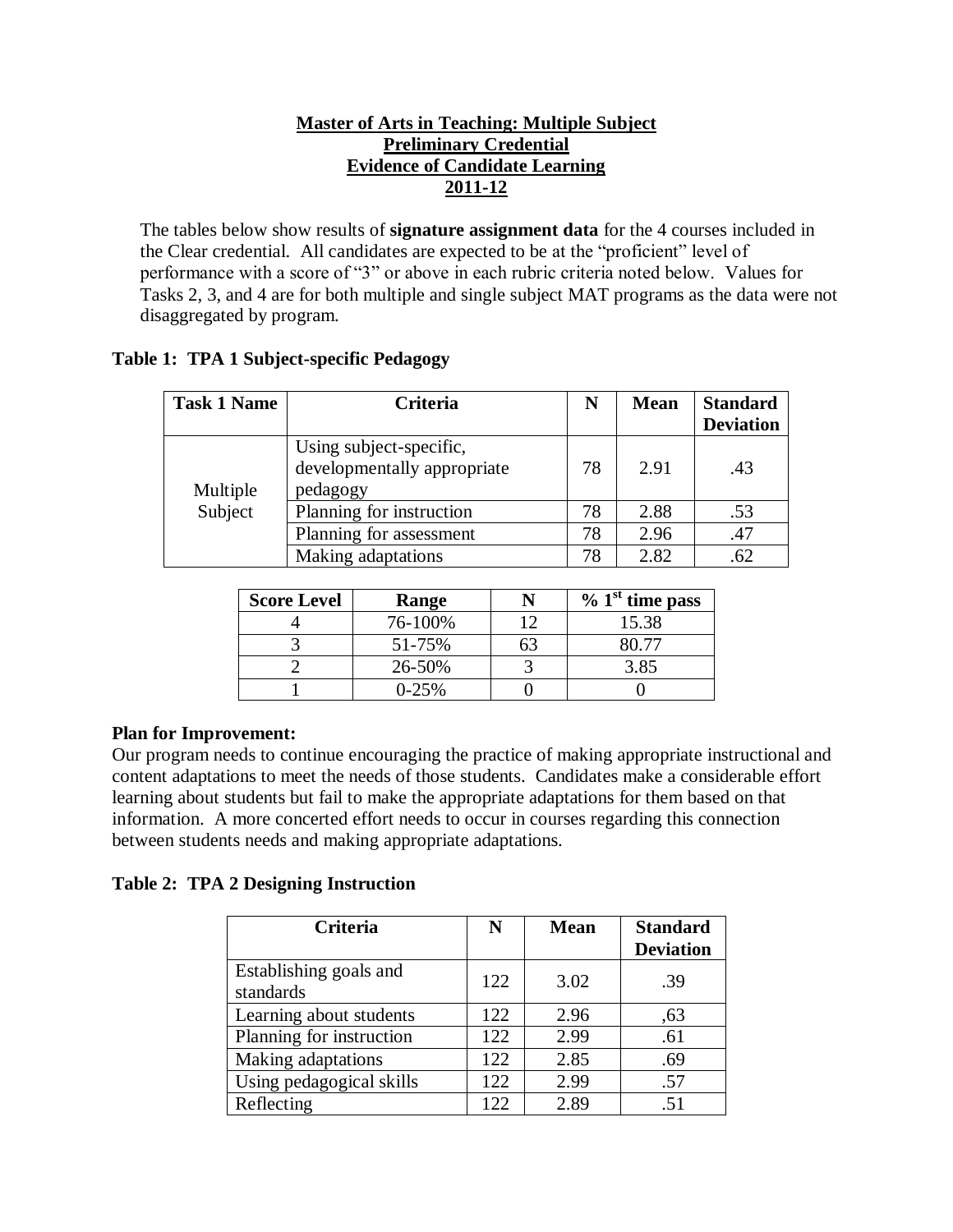# **Master of Arts in Teaching: Multiple Subject Preliminary Credential Evidence of Candidate Learning 2011-12**

The tables below show results of **signature assignment data** for the 4 courses included in the Clear credential. All candidates are expected to be at the "proficient" level of performance with a score of "3" or above in each rubric criteria noted below. Values for Tasks 2, 3, and 4 are for both multiple and single subject MAT programs as the data were not disaggregated by program.

# **Table 1: TPA 1 Subject-specific Pedagogy**

| <b>Task 1 Name</b> | Criteria                                                           | N  | <b>Mean</b> | <b>Standard</b><br><b>Deviation</b> |
|--------------------|--------------------------------------------------------------------|----|-------------|-------------------------------------|
| Multiple           | Using subject-specific,<br>developmentally appropriate<br>pedagogy | 78 | 2.91        | .43                                 |
| Subject            | Planning for instruction                                           | 78 | 2.88        | .53                                 |
|                    | Planning for assessment                                            | 78 | 2.96        | .47                                 |
|                    | Making adaptations                                                 | 78 | 2.82        |                                     |

| <b>Score Level</b> | Range   | $\%$ 1 <sup>st</sup> time pass |
|--------------------|---------|--------------------------------|
|                    | 76-100% | 15.38                          |
|                    | 51-75%  | 80 77                          |
|                    | 26-50%  | 3.85                           |
|                    | $0-25%$ |                                |

# **Plan for Improvement:**

Our program needs to continue encouraging the practice of making appropriate instructional and content adaptations to meet the needs of those students. Candidates make a considerable effort learning about students but fail to make the appropriate adaptations for them based on that information. A more concerted effort needs to occur in courses regarding this connection between students needs and making appropriate adaptations.

# **Table 2: TPA 2 Designing Instruction**

| Criteria                            | N   | <b>Mean</b> | <b>Standard</b><br><b>Deviation</b> |
|-------------------------------------|-----|-------------|-------------------------------------|
| Establishing goals and<br>standards | 122 | 3.02        | .39                                 |
| Learning about students             | 122 | 2.96        | .63                                 |
| Planning for instruction            | 122 | 2.99        | .61                                 |
| Making adaptations                  | 122 | 2.85        | .69                                 |
| Using pedagogical skills            | 122 | 2.99        | .57                                 |
| Reflecting                          | 122 | 2.89        | $-51$                               |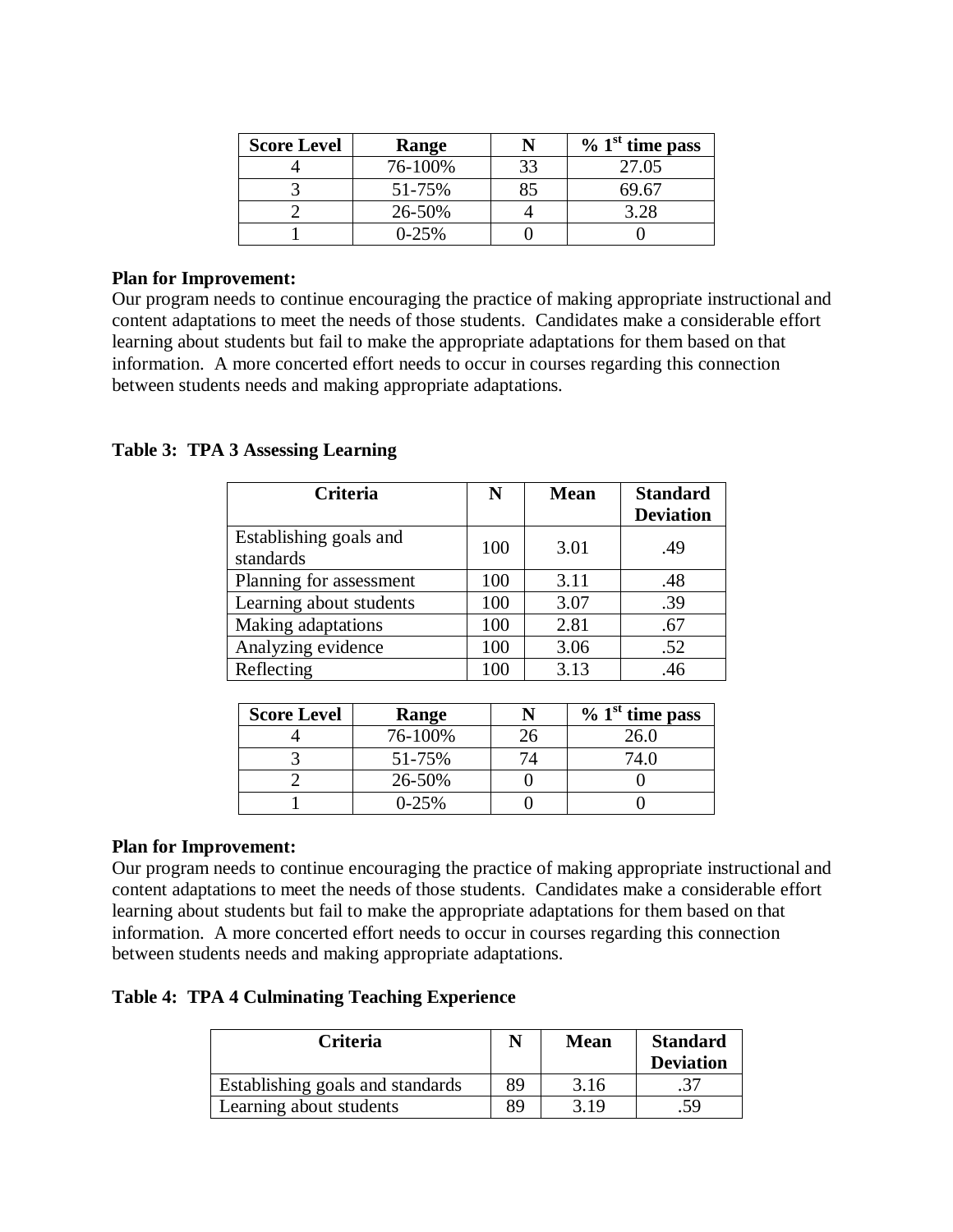| <b>Score Level</b> | Range   |    | $\%$ 1 <sup>st</sup> time pass |
|--------------------|---------|----|--------------------------------|
|                    | 76-100% | 33 | 27.05                          |
|                    | 51-75%  |    | 69.67                          |
|                    | 26-50%  |    | 3.28                           |
|                    | $0-25%$ |    |                                |

Our program needs to continue encouraging the practice of making appropriate instructional and content adaptations to meet the needs of those students. Candidates make a considerable effort learning about students but fail to make the appropriate adaptations for them based on that information. A more concerted effort needs to occur in courses regarding this connection between students needs and making appropriate adaptations.

**Table 3: TPA 3 Assessing Learning**

| Criteria                            | N   | <b>Mean</b> | <b>Standard</b><br><b>Deviation</b> |
|-------------------------------------|-----|-------------|-------------------------------------|
| Establishing goals and<br>standards | 100 | 3.01        | .49                                 |
| Planning for assessment             | 100 | 3.11        | .48                                 |
| Learning about students             | 100 | 3.07        | .39                                 |
| Making adaptations                  | 100 | 2.81        | .67                                 |
| Analyzing evidence                  | 100 | 3.06        | .52                                 |
| Reflecting                          | 100 | 3.13        | .46                                 |

| <b>Score Level</b> | Range     | $\%$ 1 <sup>st</sup> time pass |
|--------------------|-----------|--------------------------------|
|                    | 76-100%   | 26.0                           |
|                    | 51-75%    |                                |
|                    | 26-50%    |                                |
|                    | $0 - 25%$ |                                |

## **Plan for Improvement:**

Our program needs to continue encouraging the practice of making appropriate instructional and content adaptations to meet the needs of those students. Candidates make a considerable effort learning about students but fail to make the appropriate adaptations for them based on that information. A more concerted effort needs to occur in courses regarding this connection between students needs and making appropriate adaptations.

## **Table 4: TPA 4 Culminating Teaching Experience**

| <b>Criteria</b>                  |    | <b>Mean</b> | <b>Standard</b><br><b>Deviation</b> |
|----------------------------------|----|-------------|-------------------------------------|
| Establishing goals and standards | 89 | 3.16        |                                     |
| Learning about students          | 89 | 3 19        | .59                                 |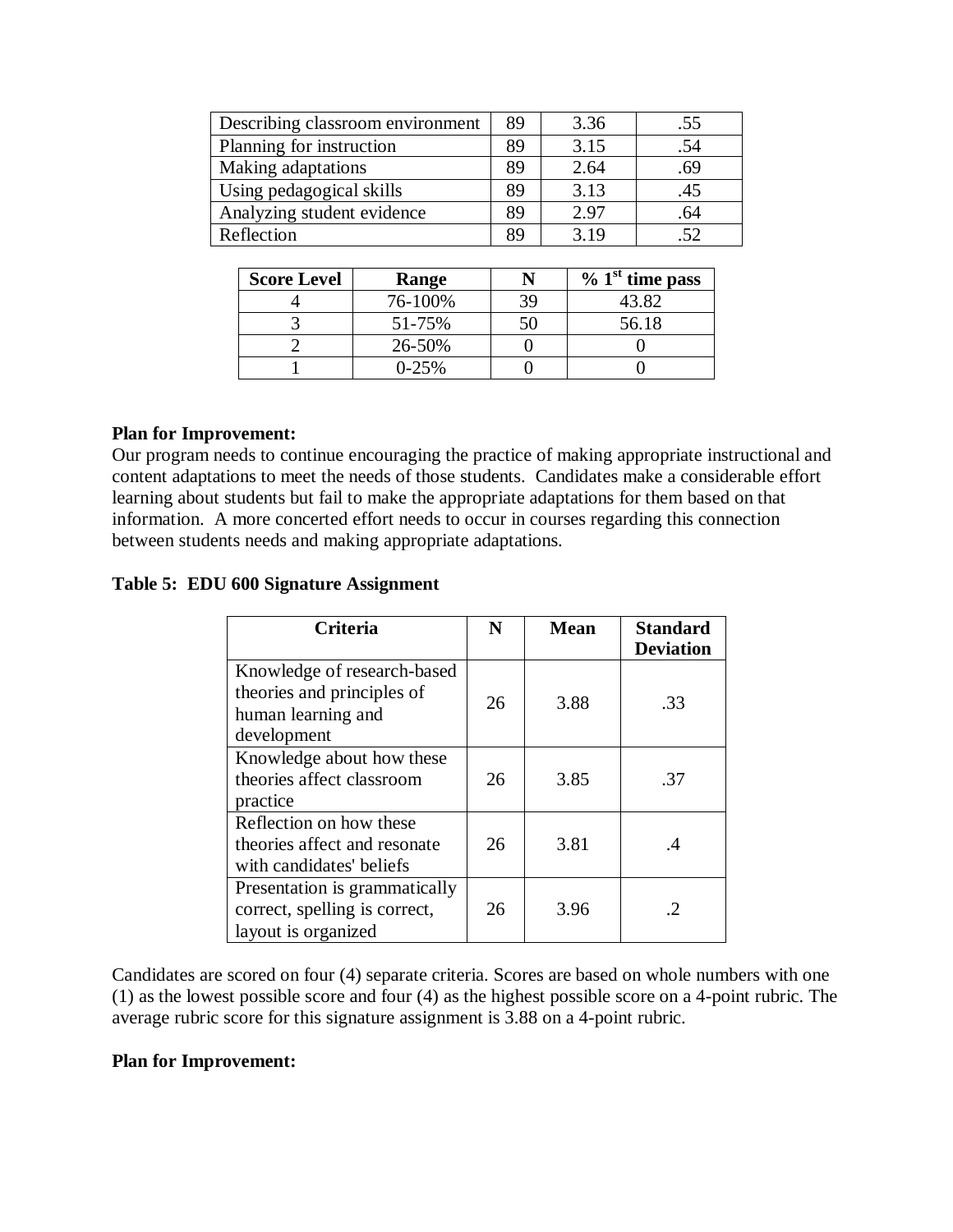| Describing classroom environment | 89 | 3.36 | .55 |
|----------------------------------|----|------|-----|
| Planning for instruction         | 89 | 3.15 | .54 |
| Making adaptations               | 89 | 2.64 | .69 |
| Using pedagogical skills         | 89 | 3.13 | .45 |
| Analyzing student evidence       | 89 | 2.97 | .64 |
| Reflection                       | 89 | 3.19 |     |
|                                  |    |      |     |

| <b>Score Level</b> | Range   | $\%$ 1 <sup>st</sup> time pass |
|--------------------|---------|--------------------------------|
|                    | 76-100% | 43.82                          |
|                    | 51-75%  | 56.18                          |
|                    | 26-50%  |                                |
|                    | $0-25%$ |                                |

Our program needs to continue encouraging the practice of making appropriate instructional and content adaptations to meet the needs of those students. Candidates make a considerable effort learning about students but fail to make the appropriate adaptations for them based on that information. A more concerted effort needs to occur in courses regarding this connection between students needs and making appropriate adaptations.

#### **Table 5: EDU 600 Signature Assignment**

| <b>Criteria</b>                                                                                | N  | <b>Mean</b> | <b>Standard</b><br><b>Deviation</b> |
|------------------------------------------------------------------------------------------------|----|-------------|-------------------------------------|
| Knowledge of research-based<br>theories and principles of<br>human learning and<br>development | 26 | 3.88        | .33                                 |
| Knowledge about how these<br>theories affect classroom<br>practice                             | 26 | 3.85        | .37                                 |
| Reflection on how these<br>theories affect and resonate<br>with candidates' beliefs            | 26 | 3.81        | .4                                  |
| Presentation is grammatically<br>correct, spelling is correct,<br>layout is organized          | 26 | 3.96        | $\mathcal{D}_{\mathcal{L}}$         |

Candidates are scored on four (4) separate criteria. Scores are based on whole numbers with one (1) as the lowest possible score and four (4) as the highest possible score on a 4-point rubric. The average rubric score for this signature assignment is 3.88 on a 4-point rubric.

## **Plan for Improvement:**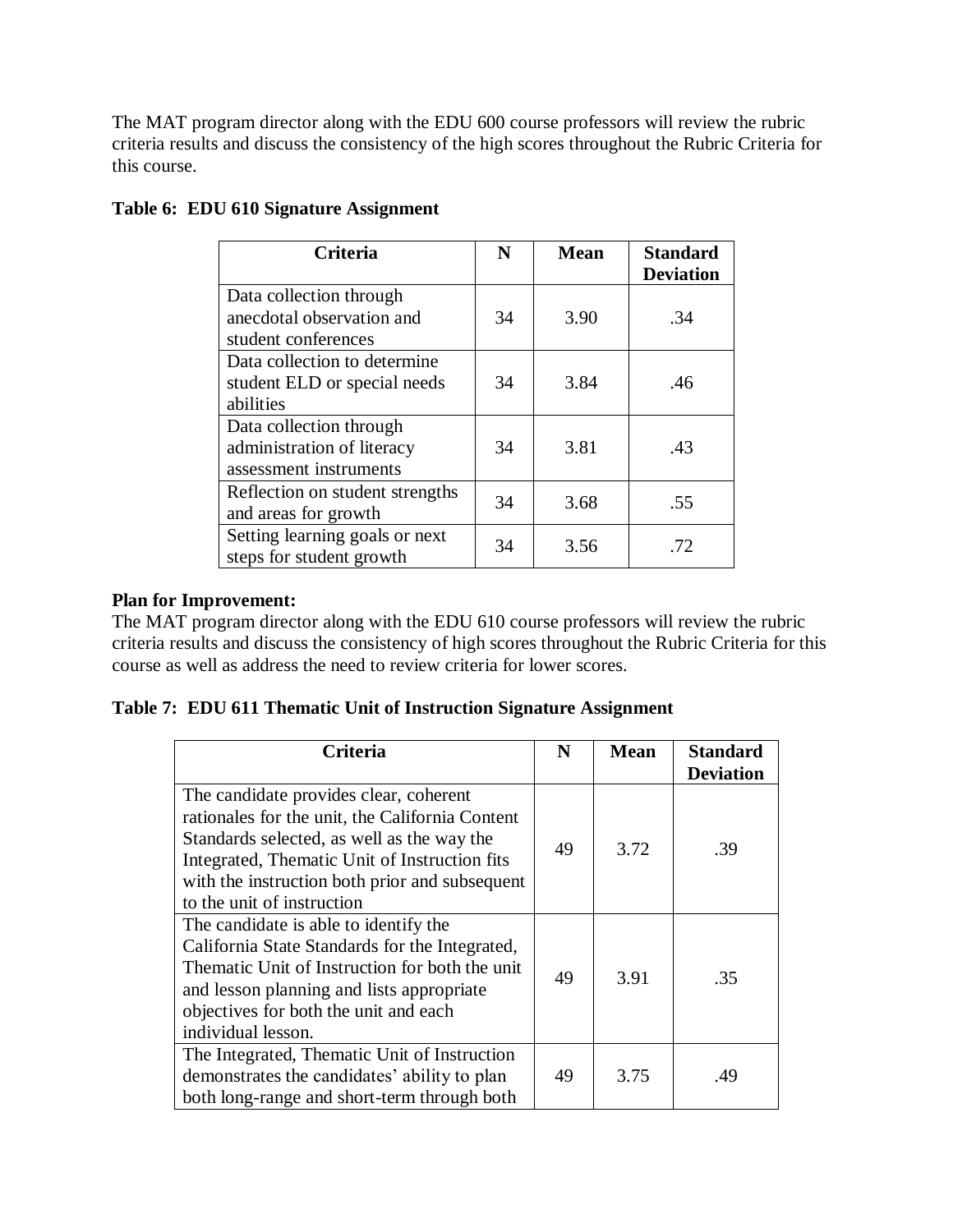The MAT program director along with the EDU 600 course professors will review the rubric criteria results and discuss the consistency of the high scores throughout the Rubric Criteria for this course.

| <b>Criteria</b>                                                                 | N  | <b>Mean</b> | <b>Standard</b><br><b>Deviation</b> |
|---------------------------------------------------------------------------------|----|-------------|-------------------------------------|
| Data collection through<br>anecdotal observation and<br>student conferences     | 34 | 3.90        | .34                                 |
| Data collection to determine<br>student ELD or special needs<br>abilities       | 34 | 3.84        | .46                                 |
| Data collection through<br>administration of literacy<br>assessment instruments | 34 | 3.81        | .43                                 |
| Reflection on student strengths<br>and areas for growth                         | 34 | 3.68        | .55                                 |
| Setting learning goals or next<br>steps for student growth                      | 34 | 3.56        | .72                                 |

# **Table 6: EDU 610 Signature Assignment**

## **Plan for Improvement:**

The MAT program director along with the EDU 610 course professors will review the rubric criteria results and discuss the consistency of high scores throughout the Rubric Criteria for this course as well as address the need to review criteria for lower scores.

|  |  |  | Table 7: EDU 611 Thematic Unit of Instruction Signature Assignment |
|--|--|--|--------------------------------------------------------------------|
|  |  |  |                                                                    |

| <b>Criteria</b>                                                                                                                                                                                                                                                          | N  | <b>Mean</b> | <b>Standard</b><br><b>Deviation</b> |
|--------------------------------------------------------------------------------------------------------------------------------------------------------------------------------------------------------------------------------------------------------------------------|----|-------------|-------------------------------------|
| The candidate provides clear, coherent<br>rationales for the unit, the California Content<br>Standards selected, as well as the way the<br>Integrated, Thematic Unit of Instruction fits<br>with the instruction both prior and subsequent<br>to the unit of instruction | 49 | 3.72        | .39                                 |
| The candidate is able to identify the<br>California State Standards for the Integrated,<br>Thematic Unit of Instruction for both the unit<br>and lesson planning and lists appropriate<br>objectives for both the unit and each<br>individual lesson.                    | 49 | 3.91        | .35                                 |
| The Integrated, Thematic Unit of Instruction<br>demonstrates the candidates' ability to plan<br>both long-range and short-term through both                                                                                                                              | 49 | 3.75        | .49                                 |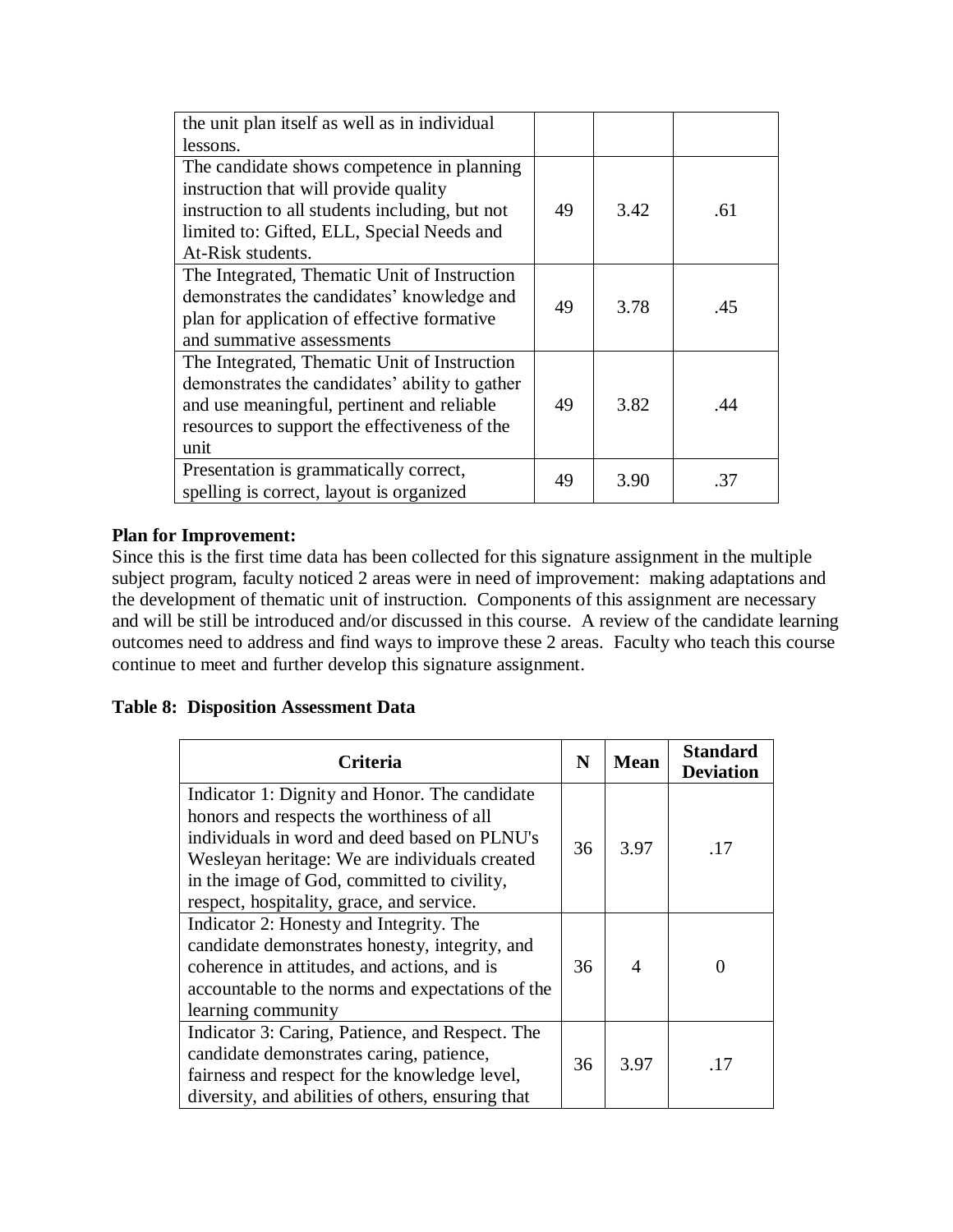| the unit plan itself as well as in individual  |    |      |     |
|------------------------------------------------|----|------|-----|
| lessons.                                       |    |      |     |
| The candidate shows competence in planning     |    |      |     |
| instruction that will provide quality          |    |      |     |
| instruction to all students including, but not | 49 | 3.42 | .61 |
| limited to: Gifted, ELL, Special Needs and     |    |      |     |
| At-Risk students.                              |    |      |     |
| The Integrated, Thematic Unit of Instruction   |    |      |     |
| demonstrates the candidates' knowledge and     | 49 | 3.78 | .45 |
| plan for application of effective formative    |    |      |     |
| and summative assessments                      |    |      |     |
| The Integrated, Thematic Unit of Instruction   |    |      |     |
| demonstrates the candidates' ability to gather |    |      |     |
| and use meaningful, pertinent and reliable     | 49 | 3.82 | .44 |
| resources to support the effectiveness of the  |    |      |     |
| unit                                           |    |      |     |
| Presentation is grammatically correct,         | 49 | 3.90 | .37 |
| spelling is correct, layout is organized       |    |      |     |

Since this is the first time data has been collected for this signature assignment in the multiple subject program, faculty noticed 2 areas were in need of improvement: making adaptations and the development of thematic unit of instruction. Components of this assignment are necessary and will be still be introduced and/or discussed in this course. A review of the candidate learning outcomes need to address and find ways to improve these 2 areas. Faculty who teach this course continue to meet and further develop this signature assignment.

## **Table 8: Disposition Assessment Data**

| <b>Criteria</b>                                                                                                                                                                                                                                                                         | N  | <b>Mean</b> | <b>Standard</b><br><b>Deviation</b> |
|-----------------------------------------------------------------------------------------------------------------------------------------------------------------------------------------------------------------------------------------------------------------------------------------|----|-------------|-------------------------------------|
| Indicator 1: Dignity and Honor. The candidate<br>honors and respects the worthiness of all<br>individuals in word and deed based on PLNU's<br>Wesleyan heritage: We are individuals created<br>in the image of God, committed to civility,<br>respect, hospitality, grace, and service. | 36 | 3.97        | .17                                 |
| Indicator 2: Honesty and Integrity. The<br>candidate demonstrates honesty, integrity, and<br>coherence in attitudes, and actions, and is<br>accountable to the norms and expectations of the<br>learning community                                                                      | 36 | 4           | 0                                   |
| Indicator 3: Caring, Patience, and Respect. The<br>candidate demonstrates caring, patience,<br>fairness and respect for the knowledge level,<br>diversity, and abilities of others, ensuring that                                                                                       | 36 | 3.97        | .17                                 |